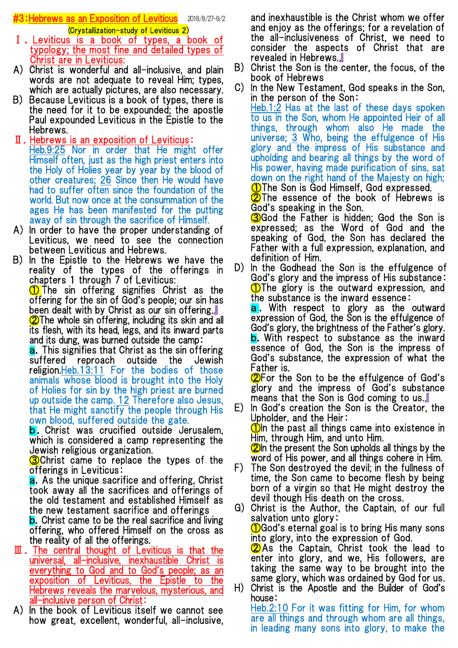**#3:Hebrews as an Exposition of Leviticus** 2018/8/27-9/2 (Crystallization-study of Leviticus 2)

- Ⅰ.Leviticus is a book of types, a book of typology; the most fine and detailed types of Christ are in Leviticus:
- A) Christ is wonderful and all-inclusive, and plain words are not adequate to reveal Him; types, which are actually pictures, are also necessary.
- B) Because Leviticus is a book of types, there is the need for it to be expounded; the apostle Paul expounded Leviticus in the Epistle to the Hebrews.
- Ⅱ.Hebrews is an exposition of Leviticus: Heb.9:25 Nor in order that He might offer Himself often, just as the high priest enters into the Holy of Holies year by year by the blood of other creatures; 26 Since then He would have had to suffer often since the foundation of the world. But now once at the consummation of the ages He has been manifested for the putting away of sin through the sacrifice of Himself.
- A) In order to have the proper understanding of Leviticus, we need to see the connection between Leviticus and Hebrews.
- B) In the Epistle to the Hebrews we have the reality of the types of the offerings in chapters 1 through 7 of Leviticus:

**1** The sin offering signifies Christ as the offering for the sin of God's people; our sin has been dealt with by Christ as our sin offering.』 **2**The whole sin offering, including its skin and all its flesh, with its head, legs, and its inward parts and its dung, was burned outside the camp:

a.This signifies that Christ as the sin offering suffered reproach outside the Jewish religion.Heb.13:11 For the bodies of those animals whose blood is brought into the Holy of Holies for sin by the high priest are burned up outside the camp. 12 Therefore also Jesus, that He might sanctify the people through His own blood, suffered outside the gate.

**b.** Christ was crucified outside Jerusalem, which is considered a camp representing the Jewish religious organization.

**3**Christ came to replace the types of the offerings in Leviticus:

a. As the unique sacrifice and offering, Christ took away all the sacrifices and offerings of the old testament and established Himself as the new testament sacrifice and offerings

**b.** Christ came to be the real sacrifice and living offering, who offered Himself on the cross as the reality of all the offerings.

- $\mathbb I$ . The central thought of Leviticus is that the universal, all-inclusive, inexhaustible Christ is everything to God and to God's people; as an exposition of Leviticus, the Epistle to the Hebrews reveals the marvelous, mysterious, and all-inclusive person of Christ:
- A) In the book of Leviticus itself we cannot see how great, excellent, wonderful, all-inclusive,

and inexhaustible is the Christ whom we offer and enjoy as the offerings; for a revelation of the all-inclusiveness of Christ, we need to consider the aspects of Christ that are revealed in Hebrews.』

- B) Christ the Son is the center, the focus, of the book of Hebrews
- C) In the New Testament, God speaks in the Son, in the person of the Son:

Heb.1:2 Has at the last of these days spoken to us in the Son, whom He appointed Heir of all things, through whom also He made the universe; 3 Who, being the effulgence of His glory and the impress of His substance and upholding and bearing all things by the word of His power, having made purification of sins, sat down on the right hand of the Majesty on high; ①The Son is God Himself, God expressed.

**2** The essence of the book of Hebrews is God's speaking in the Son.

**3**God the Father is hidden: God the Son is expressed; as the Word of God and the speaking of God, the Son has declared the Father with a full expression, explanation, and definition of Him.

D) In the Godhead the Son is the effulgence of God's glory and the impress of His substance: **(1)**The glory is the outward expression, and the substance is the inward essence:

a. With respect to glory as the outward expression of God, the Son is the effulgence of God's glory, the brightness of the Father's glory. **b.** With respect to substance as the inward essence of God, the Son is the impress of God's substance, the expression of what the Father is.

②For the Son to be the effulgence of God's glory and the impress of God's substance means that the Son is God coming to us.』

E) In God's creation the Son is the Creator, the Upholder, and the Heir:  $\bigcirc$  The past all things came into existence in

Him, through Him, and unto Him.  $\oslash$  In the present the Son upholds all things by the

word of His power, and all things cohere in Him. F) The Son destroyed the devil; in the fullness of

time, the Son came to become flesh by being born of a virgin so that He might destroy the devil though His death on the cross.

G) Christ is the Author, the Captain, of our full salvation unto glory: **1** God's eternal goal is to bring His many sons into glory, into the expression of God. **②**As the Captain, Christ took the lead to enter into glory, and we, His followers, are taking the same way to be brought into the same glory, which was ordained by God for us. H) Christ is the Apostle and the Builder of God's

house: Heb.2:10 For it was fitting for Him, for whom

are all things and through whom are all things, in leading many sons into glory, to make the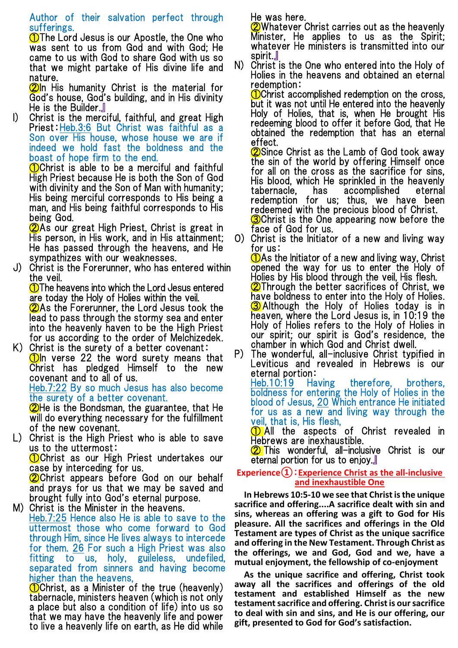# Author of their salvation perfect through sufferings.

**1** The Lord Jesus is our Apostle, the One who was sent to us from God and with God; He came to us with God to share God with us so that we might partake of His divine life and nature.

**2**In His humanity Christ is the material for God's house, God's building, and in His divinity He is the Builder.』

I) Christ is the merciful, faithful, and great High Priest:Heb.3:6 But Christ was faithful as a Son over His house, whose house we are if indeed we hold fast the boldness and the boast of hope firm to the end.

**O**Christ is able to be a merciful and faithful High Priest because He is both the Son of God with divinity and the Son of Man with humanity; His being merciful corresponds to His being a man, and His being faithful corresponds to His being God.

②As our great High Priest, Christ is great in His person, in His work, and in His attainment; He has passed through the heavens, and He sympathizes with our weaknesses.

J) Christ is the Forerunner, who has entered within the veil.

①The heavens into which the Lord Jesus entered are today the Holy of Holies within the veil. ②As the Forerunner, the Lord Jesus took the lead to pass through the stormy sea and enter into the heavenly haven to be the High Priest for us according to the order of Melchizedek.

K) Christ is the surety of a better covenant:  $\bigcirc$  1 or  $\bigcirc$  22 the word surety means that Christ has pledged Himself to the new covenant and to all of us.

Heb.7:22 By so much Jesus has also become the surety of a better covenant.

**2**He is the Bondsman, the guarantee, that He will do everything necessary for the fulfillment of the new covenant.

L) Christ is the High Priest who is able to save us to the uttermost:

①Christ as our High Priest undertakes our case by interceding for us.

**2**Christ appears before God on our behalf and prays for us that we may be saved and brought fully into God's eternal purpose.

M) Christ is the Minister in the heavens. Heb.7:25 Hence also He is able to save to the uttermost those who come forward to God through Him, since He lives always to intercede for them. 26 For such a High Priest was also fitting to us, holy, guileless, undefiled, separated from sinners and having become higher than the heavens,

①Christ, as a Minister of the true (heavenly) tabernacle, ministers heaven (which is not only a place but also a condition of life) into us so that we may have the heavenly life and power to live a heavenly life on earth, as He did while He was here.

2)Whatever Christ carries out as the heavenly Minister, He applies to us as the Spirit; whatever He ministers is transmitted into our spirit.』

N) Christ is the One who entered into the Holy of Holies in the heavens and obtained an eternal redemption:

**(1)**Christ accomplished redemption on the cross, but it was not until He entered into the heavenly Holy of Holies, that is, when He brought His redeeming blood to offer it before God, that He obtained the redemption that has an eternal effect.

**2** Since Christ as the Lamb of God took away the sin of the world by offering Himself once for all on the cross as the sacrifice for sins, His blood, which He sprinkled in the heavenly tabernacle, has accomplished eternal redemption for us; thus, we have been redeemed with the precious blood of Christ. **3**Christ is the One appearing now before the face of God for us.

O) Christ is the Initiator of a new and living way for us:

 $\bigcirc$  As the Initiator of a new and living way, Christ opened the way for us to enter the Holy of Holies by His blood through the veil, His flesh. **②Through the better sacrifices of Christ, we** have boldness to enter into the Holy of Holies. **3** Although the Holy of Holies today is in heaven, where the Lord Jesus is, in 10:19 the Holy of Holies refers to the Holy of Holies in our spirit; our spirit is God's residence, the chamber in which God and Christ dwell.

P) The wonderful, all-inclusive Christ typified in Leviticus and revealed in Hebrews is our eternal portion:

Heb.10:19 Having therefore, brothers, boldness for entering the Holy of Holies in the blood of Jesus, 20 Which entrance He initiated for us as a new and living way through the veil, that is, His flesh,

**1** All the aspects of Christ revealed in Hebrews are inexhaustible.

② This wonderful, all-inclusive Christ is our eternal portion for us to enjoy.』

## **Experience①**:**Experience Christ as the all-inclusive and inexhaustible One**

**In Hebrews 10:5-10 we see that Christ is the unique sacrifice and offering....A sacrifice dealt with sin and sins, whereas an offering was a gift to God for His pleasure. All the sacrifices and offerings in the Old Testament are types of Christ as the unique sacrifice and offering in the New Testament. Through Christ as the offerings, we and God, God and we, have a mutual enjoyment, the fellowship of co-enjoyment**

**As the unique sacrifice and offering, Christ took away all the sacrifices and offerings of the old testament and established Himself as the new testament sacrifice and offering. Christ is our sacrifice to deal with sin and sins, and He is our offering, our gift, presented to God for God's satisfaction.**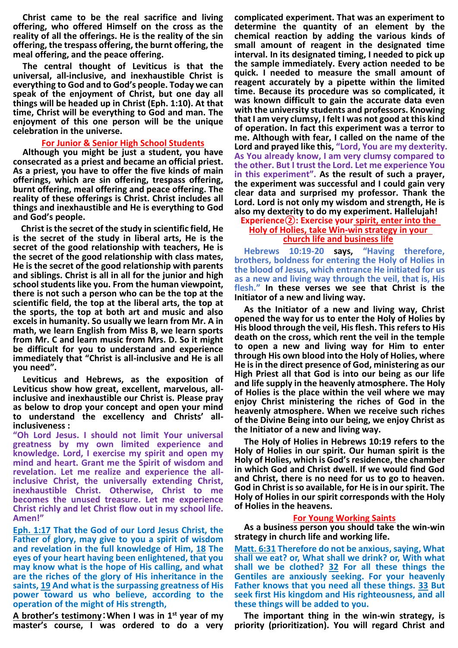**Christ came to be the real sacrifice and living offering, who offered Himself on the cross as the reality of all the offerings. He is the reality of the sin offering, the trespass offering, the burnt offering, the meal offering, and the peace offering.** 

**The central thought of Leviticus is that the universal, all-inclusive, and inexhaustible Christ is everything to God and to God's people. Today we can speak of the enjoyment of Christ, but one day all things will be headed up in Christ (Eph. 1:10). At that time, Christ will be everything to God and man. The enjoyment of this one person will be the unique celebration in the universe.** 

#### **For Junior & Senior High School Students**

**Although you might be just a student, you have consecrated as a priest and became an official priest. As a priest, you have to offer the five kinds of main offerings, which are sin offering, trespass offering, burnt offering, meal offering and peace offering. The reality of these offerings is Christ. Christ includes all things and inexhaustible and He is everything to God and God's people.** 

**Christ is the secret of the study in scientific field, He is the secret of the study in liberal arts, He is the secret of the good relationship with teachers, He is the secret of the good relationship with class mates, He is the secret of the good relationship with parents and siblings. Christ is all in all for the junior and high school students like you. From the human viewpoint, there is not such a person who can be the top at the scientific field, the top at the liberal arts, the top at the sports, the top at both art and music and also excels in humanity. So usually we learn from Mr. A in math, we learn English from Miss B, we learn sports from Mr. C and learn music from Mrs. D. So it might be difficult for you to understand and experience immediately that "Christ is all-inclusive and He is all you need".**

**Leviticus and Hebrews, as the exposition of Leviticus show how great, excellent, marvelous, allinclusive and inexhaustible our Christ is. Please pray as below to drop your concept and open your mind to understand the excellency and Christs' allinclusiveness :** 

**"Oh Lord Jesus. I should not limit Your universal greatness by my own limited experience and knowledge. Lord, I exercise my spirit and open my mind and heart. Grant me the Spirit of wisdom and revelation. Let me realize and experience the allinclusive Christ, the universally extending Christ, inexhaustible Christ. Otherwise, Christ to me becomes the unused treasure. Let me experience Christ richly and let Christ flow out in my school life. Amen!"** 

**Eph. 1:17 That the God of our Lord Jesus Christ, the Father of glory, may give to you a spirit of wisdom and revelation in the full knowledge of Him, 18 The eyes of your heart having been enlightened, that you may know what is the hope of His calling, and what are the riches of the glory of His inheritance in the saints, 19 And what is the surpassing greatness of His power toward us who believe, according to the operation of the might of His strength,** 

**A brother's testimony**:**When I was in 1st year of my master's course, I was ordered to do a very** 

**complicated experiment. That was an experiment to determine the quantity of an element by the chemical reaction by adding the various kinds of small amount of reagent in the designated time interval. In its designated timing, I needed to pick up the sample immediately. Every action needed to be quick. I needed to measure the small amount of reagent accurately by a pipette within the limited time. Because its procedure was so complicated, it was known difficult to gain the accurate data even with the university students and professors. Knowing that I am very clumsy, I felt I was not good at this kind of operation. In fact this experiment was a terror to me. Although with fear, I called on the name of the Lord and prayed like this, "Lord, You are my dexterity. As You already know, I am very clumsy compared to the other. But I trust the Lord. Let me experience You in this experiment". As the result of such a prayer, the experiment was successful and I could gain very clear data and surprised my professor. Thank the Lord. Lord is not only my wisdom and strength, He is also my dexterity to do my experiment. Hallelujah!** 

#### **Experience②: Exercise your spirit, enter into the Holy of Holies, take Win-win strategy in your church life and business life**

**Hebrews 10:19-20 says, "Having therefore, brothers, boldness for entering the Holy of Holies in the blood of Jesus, which entrance He initiated for us as a new and living way through the veil, that is, His flesh." In these verses we see that Christ is the Initiator of a new and living way.**

**As the Initiator of a new and living way, Christ opened the way for us to enter the Holy of Holies by His blood through the veil, His flesh. This refers to His death on the cross, which rent the veil in the temple to open a new and living way for Him to enter through His own blood into the Holy of Holies, where He is in the direct presence of God, ministering as our High Priest all that God is into our being as our life and life supply in the heavenly atmosphere. The Holy of Holies is the place within the veil where we may enjoy Christ ministering the riches of God in the heavenly atmosphere. When we receive such riches of the Divine Being into our being, we enjoy Christ as the Initiator of a new and living way.**

**The Holy of Holies in Hebrews 10:19 refers to the Holy of Holies in our spirit. Our human spirit is the Holy of Holies, which is God's residence, the chamber in which God and Christ dwell. If we would find God and Christ, there is no need for us to go to heaven. God in Christ is so available, for He is in our spirit. The Holy of Holies in our spirit corresponds with the Holy of Holies in the heavens.**

#### **For Young Working Saints**

**As a business person you should take the win-win strategy in church life and working life.**

**Matt. 6:31 Therefore do not be anxious, saying, What shall we eat? or, What shall we drink? or, With what shall we be clothed? 32 For all these things the Gentiles are anxiously seeking. For your heavenly Father knows that you need all these things. 33 But seek first His kingdom and His righteousness, and all these things will be added to you.**

**The important thing in the win-win strategy, is priority (prioritization). You will regard Christ and**